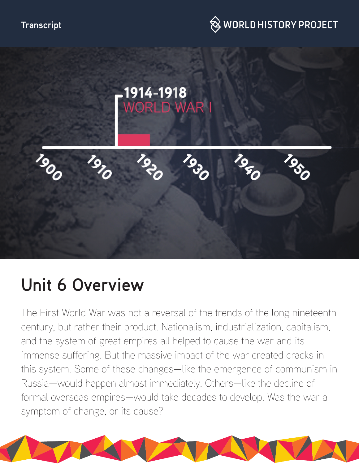



# **Unit 6 Overview**

The First World War was not a reversal of the trends of the long nineteenth century, but rather their product. Nationalism, industrialization, capitalism, and the system of great empires all helped to cause the war and its immense suffering. But the massive impact of the war created cracks in this system. Some of these changes—like the emergence of communism in Russia—would happen almost immediately. Others—like the decline of formal overseas empires—would take decades to develop. Was the war a symptom of change, or its cause?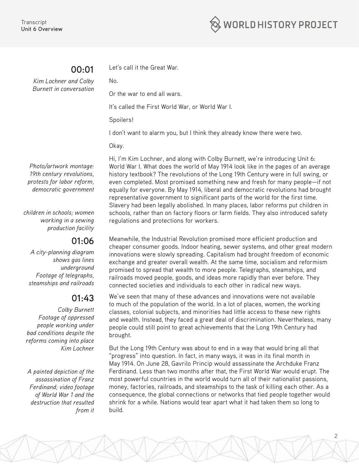

# **00:01**

Let's call it the Great War.

*Kim Lochner and Colby Burnett in conversation*

Or the war to end all wars.

It's called the First World War, or World War I.

Spoilers!

No.

I don't want to alarm you, but I think they already know there were two.

Okay.

*Photo/artwork montage: 19th century revolutions, protests for labor reform, democratic government*

*children in schools; women working in a sewing production facility*

# **01:06**

*A city-planning diagram shows gas lines underground Footage of telegraphs, steamships and railroads*

# **01:43**

*Colby Burnett Footage of oppressed people working under bad conditions despite the reforms coming into place Kim Lochner*

*A painted depiction of the assassination of Franz Ferdinand; video footage of World War 1 and the destruction that resulted from it* Hi, I'm Kim Lochner, and along with Colby Burnett, we're introducing Unit 6: World War I. What does the world of May 1914 look like in the pages of an average history textbook? The revolutions of the Long 19th Century were in full swing, or even completed. Most promised something new and fresh for many people—if not equally for everyone. By May 1914, liberal and democratic revolutions had brought representative government to significant parts of the world for the first time. Slavery had been legally abolished. In many places, labor reforms put children in schools, rather than on factory floors or farm fields. They also introduced safety regulations and protections for workers.

Meanwhile, the Industrial Revolution promised more efficient production and cheaper consumer goods. Indoor heating, sewer systems, and other great modern innovations were slowly spreading. Capitalism had brought freedom of economic exchange and greater overall wealth. At the same time, socialism and reformism promised to spread that wealth to more people. Telegraphs, steamships, and railroads moved people, goods, and ideas more rapidly than ever before. They connected societies and individuals to each other in radical new ways.

We've seen that many of these advances and innovations were not available to much of the population of the world. In a lot of places, women, the working classes, colonial subjects, and minorities had little access to these new rights and wealth. Instead, they faced a great deal of discrimination. Nevertheless, many people could still point to great achievements that the Long 19th Century had brought.

But the Long 19th Century was about to end in a way that would bring all that "progress" into question. In fact, in many ways, it was in its final month in May 1914. On June 28, Gavrilo Princip would assassinate the Archduke Franz Ferdinand. Less than two months after that, the First World War would erupt. The most powerful countries in the world would turn all of their nationalist passions, money, factories, railroads, and steamships to the task of killing each other. As a consequence, the global connections or networks that tied people together would shrink for a while. Nations would tear apart what it had taken them so long to build.

2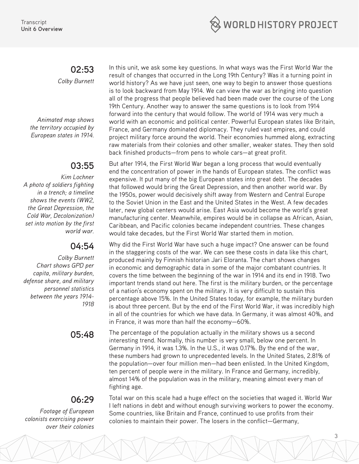

### **02:53** *Colby Burnett*

*Animated map shows the territory occupied by European states in 1914.*

# **03:55**

*Kim Lochner A photo of soldiers fighting in a trench; a timeline shows the events (WW2, the Great Depression, the Cold War, Decolonization) set into motion by the first world war.*

## **04:54**

*Colby Burnett Chart shows GPD per capita, military burden, defense share, and military personnel statistics between the years 1914- 1918*

# **06:29**

*Footage of European colonists exercising power over their colonies*

In this unit, we ask some key questions. In what ways was the First World War the result of changes that occurred in the Long 19th Century? Was it a turning point in world history? As we have just seen, one way to begin to answer those questions is to look backward from May 1914. We can view the war as bringing into question all of the progress that people believed had been made over the course of the Long 19th Century. Another way to answer the same questions is to look from 1914 forward into the century that would follow. The world of 1914 was very much a world with an economic and political center. Powerful European states like Britain, France, and Germany dominated diplomacy. They ruled vast empires, and could project military force around the world. Their economies hummed along, extracting raw materials from their colonies and other smaller, weaker states. They then sold back finished products—from pens to whole cars—at great profit.

But after 1914, the First World War began a long process that would eventually end the concentration of power in the hands of European states. The conflict was expensive. It put many of the big European states into great debt. The decades that followed would bring the Great Depression, and then another world war. By the 1950s, power would decisively shift away from Western and Central Europe to the Soviet Union in the East and the United States in the West. A few decades later, new global centers would arise. East Asia would become the world's great manufacturing center. Meanwhile, empires would be in collapse as African, Asian, Caribbean, and Pacific colonies became independent countries. These changes would take decades, but the First World War started them in motion.

Why did the First World War have such a huge impact? One answer can be found in the staggering costs of the war. We can see these costs in data like this chart, produced mainly by Finnish historian Jari Eloranta. The chart shows changes in economic and demographic data in some of the major combatant countries. It covers the time between the beginning of the war in 1914 and its end in 1918. Two important trends stand out here. The first is the military burden, or the percentage of a nation's economy spent on the military. It is very difficult to sustain this percentage above 15%. In the United States today, for example, the military burden is about three percent. But by the end of the First World War, it was incredibly high in all of the countries for which we have data. In Germany, it was almost 40%, and in France, it was more than half the economy—60%.

**05:48** The percentage of the population actually in the military shows us a second interesting trend. Normally, this number is very small, below one percent. In Germany in 1914, it was 1.3%. In the U.S., it was 0.17%. By the end of the war, these numbers had grown to unprecedented levels. In the United States, 2.81% of the population—over four million men—had been enlisted. In the United Kingdom, ten percent of people were in the military. In France and Germany, incredibly, almost 14% of the population was in the military, meaning almost every man of fighting age.

> Total war on this scale had a huge effect on the societies that waged it. World War I left nations in debt and without enough surviving workers to power the economy. Some countries, like Britain and France, continued to use profits from their colonies to maintain their power. The losers in the conflict—Germany,

> > 3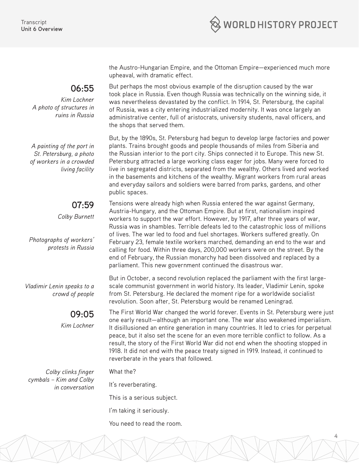

**06:55**

*Kim Lochner A photo of structures in ruins in Russia*

*A painting of the port in St. Petersburg, a photo of workers in a crowded living facility*

**07:59**

*Colby Burnett*

*Photographs of workers' protests in Russia*

*Vladimir Lenin speaks to a crowd of people*

**09:05**

*Kim Lochner*

*Colby clinks finger cymbals – Kim and Colby in conversation* the Austro-Hungarian Empire, and the Ottoman Empire—experienced much more upheaval, with dramatic effect.

But perhaps the most obvious example of the disruption caused by the war took place in Russia. Even though Russia was technically on the winning side, it was nevertheless devastated by the conflict. In 1914, St. Petersburg, the capital of Russia, was a city entering industrialized modernity. It was once largely an administrative center, full of aristocrats, university students, naval officers, and the shops that served them.

But, by the 1890s, St. Petersburg had begun to develop large factories and power plants. Trains brought goods and people thousands of miles from Siberia and the Russian interior to the port city. Ships connected it to Europe. This new St. Petersburg attracted a large working class eager for jobs. Many were forced to live in segregated districts, separated from the wealthy. Others lived and worked in the basements and kitchens of the wealthy. Migrant workers from rural areas and everyday sailors and soldiers were barred from parks, gardens, and other public spaces.

Tensions were already high when Russia entered the war against Germany, Austria-Hungary, and the Ottoman Empire. But at first, nationalism inspired workers to support the war effort. However, by 1917, after three years of war, Russia was in shambles. Terrible defeats led to the catastrophic loss of millions of lives. The war led to food and fuel shortages. Workers suffered greatly. On February 23, female textile workers marched, demanding an end to the war and calling for food. Within three days, 200,000 workers were on the street. By the end of February, the Russian monarchy had been dissolved and replaced by a parliament. This new government continued the disastrous war.

But in October, a second revolution replaced the parliament with the first largescale communist government in world history. Its leader, Vladimir Lenin, spoke from St. Petersburg. He declared the moment ripe for a worldwide socialist revolution. Soon after, St. Petersburg would be renamed Leningrad.

The First World War changed the world forever. Events in St. Petersburg were just one early result—although an important one. The war also weakened imperialism. It disillusioned an entire generation in many countries. It led to cries for perpetual peace, but it also set the scene for an even more terrible conflict to follow. As a result, the story of the First World War did not end when the shooting stopped in 1918. It did not end with the peace treaty signed in 1919. Instead, it continued to reverberate in the years that followed.

4

What the?

It's reverberating.

This is a serious subject.

I'm taking it seriously.

You need to read the room.